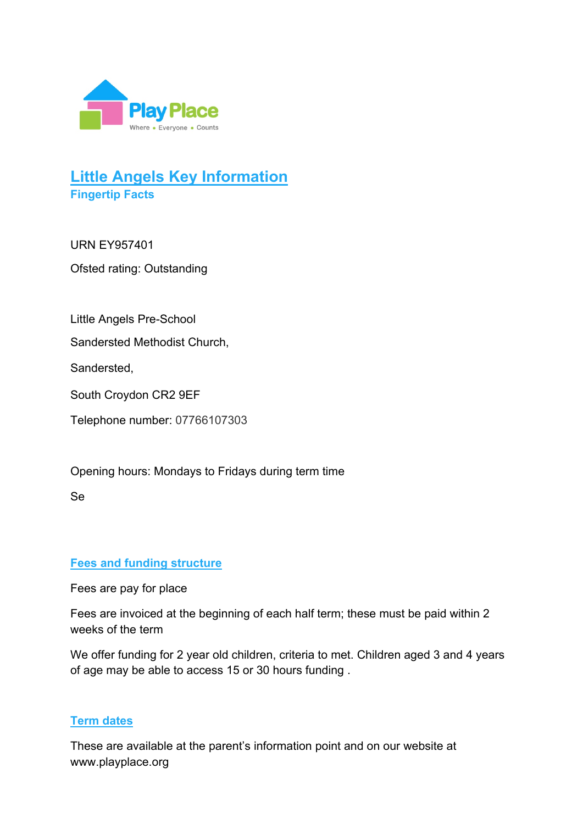

# **Little Angels Key Information Fingertip Facts**

URN EY957401 Ofsted rating: Outstanding

Little Angels Pre-School

Sandersted Methodist Church,

Sandersted,

South Croydon CR2 9EF

Telephone number: 07766107303

Opening hours: Mondays to Fridays during term time

Se

## **Fees and funding structure**

Fees are pay for place

Fees are invoiced at the beginning of each half term; these must be paid within 2 weeks of the term

We offer funding for 2 year old children, criteria to met. Children aged 3 and 4 years of age may be able to access 15 or 30 hours funding .

## **Term dates**

These are available at the parent's information point and on our website at www.playplace.org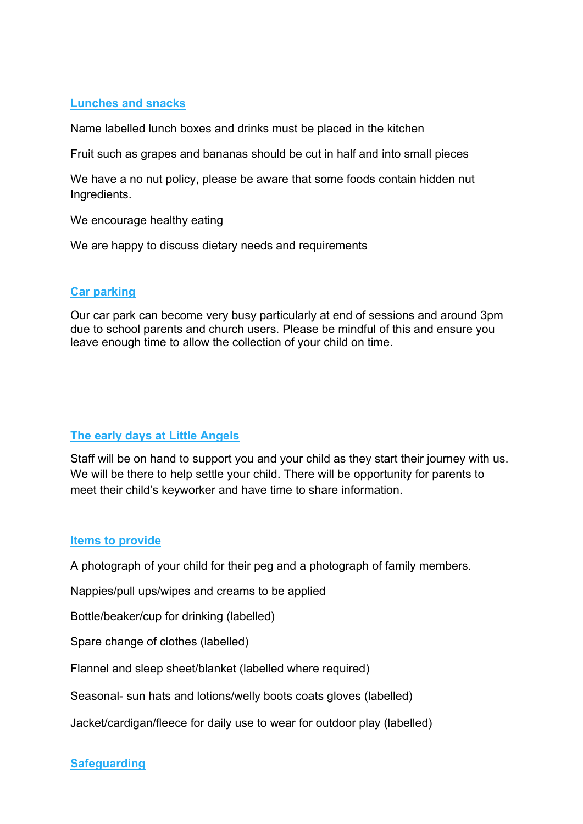### **Lunches and snacks**

Name labelled lunch boxes and drinks must be placed in the kitchen

Fruit such as grapes and bananas should be cut in half and into small pieces

We have a no nut policy, please be aware that some foods contain hidden nut Ingredients.

We encourage healthy eating

We are happy to discuss dietary needs and requirements

#### **Car parking**

Our car park can become very busy particularly at end of sessions and around 3pm due to school parents and church users. Please be mindful of this and ensure you leave enough time to allow the collection of your child on time.

## **The early days at Little Angels**

Staff will be on hand to support you and your child as they start their journey with us. We will be there to help settle your child. There will be opportunity for parents to meet their child's keyworker and have time to share information.

#### **Items to provide**

A photograph of your child for their peg and a photograph of family members.

Nappies/pull ups/wipes and creams to be applied

Bottle/beaker/cup for drinking (labelled)

Spare change of clothes (labelled)

Flannel and sleep sheet/blanket (labelled where required)

Seasonal- sun hats and lotions/welly boots coats gloves (labelled)

Jacket/cardigan/fleece for daily use to wear for outdoor play (labelled)

## **Safeguarding**